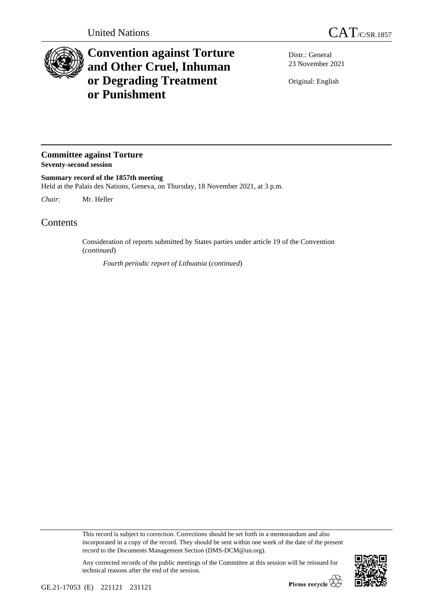

## **Convention against Torture and Other Cruel, Inhuman or Degrading Treatment or Punishment**

Distr.: General 23 November 2021

Original: English

**Committee against Torture Seventy-second session**

**Summary record of the 1857th meeting** Held at the Palais des Nations, Geneva, on Thursday, 18 November 2021, at 3 p.m.

*Chair*: Mr. Heller

Contents

Consideration of reports submitted by States parties under article 19 of the Convention (*continued*)

*Fourth periodic report of Lithuania* (*continued*)

This record is subject to correction. Corrections should be set forth in a memorandum and also incorporated in a copy of the record. They should be sent within one week of the date of the present record to the Documents Management Section (DMS-DCM@un.org).

Any corrected records of the public meetings of the Committee at this session will be reissued for technical reasons after the end of the session.

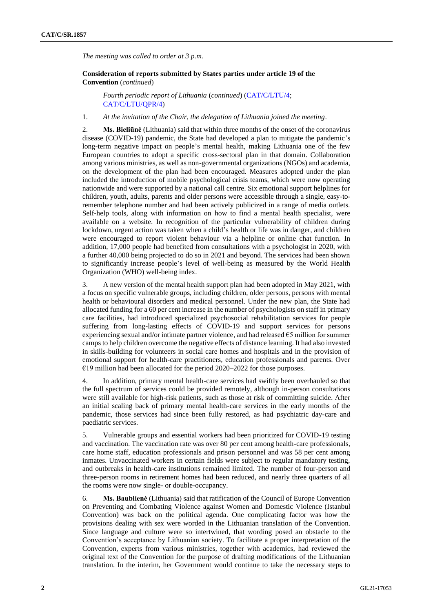*The meeting was called to order at 3 p.m.*

## **Consideration of reports submitted by States parties under article 19 of the Convention** (*continued*)

*Fourth periodic report of Lithuania* (*continued*) [\(CAT/C/LTU/4;](http://undocs.org/en/CAT/C/LTU/4) [CAT/C/LTU/QPR/4\)](http://undocs.org/en/CAT/C/LTU/QPR/4)

1. *At the invitation of the Chair, the delegation of Lithuania joined the meeting*.

2. **Ms. Bieliūnė** (Lithuania) said that within three months of the onset of the coronavirus disease (COVID-19) pandemic, the State had developed a plan to mitigate the pandemic's long-term negative impact on people's mental health, making Lithuania one of the few European countries to adopt a specific cross-sectoral plan in that domain. Collaboration among various ministries, as well as non-governmental organizations (NGOs) and academia, on the development of the plan had been encouraged. Measures adopted under the plan included the introduction of mobile psychological crisis teams, which were now operating nationwide and were supported by a national call centre. Six emotional support helplines for children, youth, adults, parents and older persons were accessible through a single, easy-toremember telephone number and had been actively publicized in a range of media outlets. Self-help tools, along with information on how to find a mental health specialist, were available on a website. In recognition of the particular vulnerability of children during lockdown, urgent action was taken when a child's health or life was in danger, and children were encouraged to report violent behaviour via a helpline or online chat function. In addition, 17,000 people had benefited from consultations with a psychologist in 2020, with a further 40,000 being projected to do so in 2021 and beyond. The services had been shown to significantly increase people's level of well-being as measured by the World Health Organization (WHO) well-being index.

3. A new version of the mental health support plan had been adopted in May 2021, with a focus on specific vulnerable groups, including children, older persons, persons with mental health or behavioural disorders and medical personnel. Under the new plan, the State had allocated funding for a 60 per cent increase in the number of psychologists on staff in primary care facilities, had introduced specialized psychosocial rehabilitation services for people suffering from long-lasting effects of COVID-19 and support services for persons experiencing sexual and/or intimate partner violence, and had released €5 million for summer camps to help children overcome the negative effects of distance learning. It had also invested in skills-building for volunteers in social care homes and hospitals and in the provision of emotional support for health-care practitioners, education professionals and parents. Over  $£19$  million had been allocated for the period 2020–2022 for those purposes.

4. In addition, primary mental health-care services had swiftly been overhauled so that the full spectrum of services could be provided remotely, although in-person consultations were still available for high-risk patients, such as those at risk of committing suicide. After an initial scaling back of primary mental health-care services in the early months of the pandemic, those services had since been fully restored, as had psychiatric day-care and paediatric services.

5. Vulnerable groups and essential workers had been prioritized for COVID-19 testing and vaccination. The vaccination rate was over 80 per cent among health-care professionals, care home staff, education professionals and prison personnel and was 58 per cent among inmates. Unvaccinated workers in certain fields were subject to regular mandatory testing, and outbreaks in health-care institutions remained limited. The number of four-person and three-person rooms in retirement homes had been reduced, and nearly three quarters of all the rooms were now single- or double-occupancy.

6. **Ms. Baublienė** (Lithuania) said that ratification of the Council of Europe Convention on Preventing and Combating Violence against Women and Domestic Violence (Istanbul Convention) was back on the political agenda. One complicating factor was how the provisions dealing with sex were worded in the Lithuanian translation of the Convention. Since language and culture were so intertwined, that wording posed an obstacle to the Convention's acceptance by Lithuanian society. To facilitate a proper interpretation of the Convention, experts from various ministries, together with academics, had reviewed the original text of the Convention for the purpose of drafting modifications of the Lithuanian translation. In the interim, her Government would continue to take the necessary steps to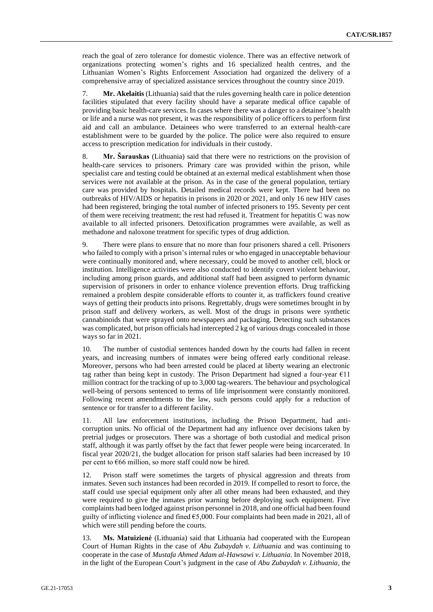reach the goal of zero tolerance for domestic violence. There was an effective network of organizations protecting women's rights and 16 specialized health centres, and the Lithuanian Women's Rights Enforcement Association had organized the delivery of a comprehensive array of specialized assistance services throughout the country since 2019.

7. **Mr. Akelaitis** (Lithuania) said that the rules governing health care in police detention facilities stipulated that every facility should have a separate medical office capable of providing basic health-care services. In cases where there was a danger to a detainee's health or life and a nurse was not present, it was the responsibility of police officers to perform first aid and call an ambulance. Detainees who were transferred to an external health-care establishment were to be guarded by the police. The police were also required to ensure access to prescription medication for individuals in their custody.

8. **Mr. Šarauskas** (Lithuania) said that there were no restrictions on the provision of health-care services to prisoners. Primary care was provided within the prison, while specialist care and testing could be obtained at an external medical establishment when those services were not available at the prison. As in the case of the general population, tertiary care was provided by hospitals. Detailed medical records were kept. There had been no outbreaks of HIV/AIDS or hepatitis in prisons in 2020 or 2021, and only 16 new HIV cases had been registered, bringing the total number of infected prisoners to 195. Seventy per cent of them were receiving treatment; the rest had refused it. Treatment for hepatitis C was now available to all infected prisoners. Detoxification programmes were available, as well as methadone and naloxone treatment for specific types of drug addiction.

9. There were plans to ensure that no more than four prisoners shared a cell. Prisoners who failed to comply with a prison's internal rules or who engaged in unacceptable behaviour were continually monitored and, where necessary, could be moved to another cell, block or institution. Intelligence activities were also conducted to identify covert violent behaviour, including among prison guards, and additional staff had been assigned to perform dynamic supervision of prisoners in order to enhance violence prevention efforts. Drug trafficking remained a problem despite considerable efforts to counter it, as traffickers found creative ways of getting their products into prisons. Regrettably, drugs were sometimes brought in by prison staff and delivery workers, as well. Most of the drugs in prisons were synthetic cannabinoids that were sprayed onto newspapers and packaging. Detecting such substances was complicated, but prison officials had intercepted 2 kg of various drugs concealed in those ways so far in 2021.

10. The number of custodial sentences handed down by the courts had fallen in recent years, and increasing numbers of inmates were being offered early conditional release. Moreover, persons who had been arrested could be placed at liberty wearing an electronic tag rather than being kept in custody. The Prison Department had signed a four-year  $\epsilon$ 11 million contract for the tracking of up to 3,000 tag-wearers. The behaviour and psychological well-being of persons sentenced to terms of life imprisonment were constantly monitored. Following recent amendments to the law, such persons could apply for a reduction of sentence or for transfer to a different facility.

11. All law enforcement institutions, including the Prison Department, had anticorruption units. No official of the Department had any influence over decisions taken by pretrial judges or prosecutors. There was a shortage of both custodial and medical prison staff, although it was partly offset by the fact that fewer people were being incarcerated. In fiscal year 2020/21, the budget allocation for prison staff salaries had been increased by 10 per cent to €66 million, so more staff could now be hired.

12. Prison staff were sometimes the targets of physical aggression and threats from inmates. Seven such instances had been recorded in 2019. If compelled to resort to force, the staff could use special equipment only after all other means had been exhausted, and they were required to give the inmates prior warning before deploying such equipment. Five complaints had been lodged against prison personnel in 2018, and one official had been found guilty of inflicting violence and fined  $\epsilon$ 5,000. Four complaints had been made in 2021, all of which were still pending before the courts.

13. **Ms. Matuizienė** (Lithuania) said that Lithuania had cooperated with the European Court of Human Rights in the case of *Abu Zubaydah v. Lithuania* and was continuing to cooperate in the case of *Mustafa Ahmed Adam al-Hawsawi v. Lithuania*. In November 2018, in the light of the European Court's judgment in the case of *Abu Zubaydah v. Lithuania*, the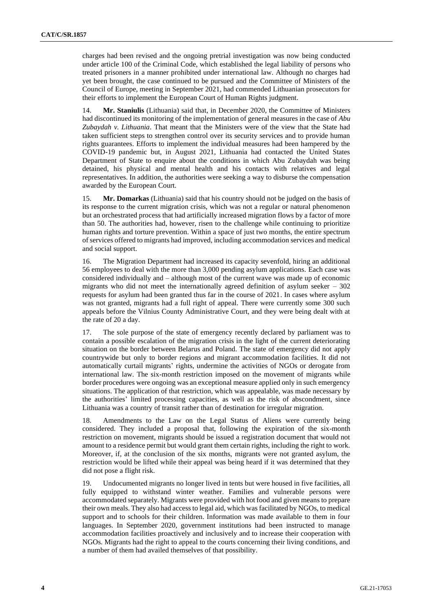charges had been revised and the ongoing pretrial investigation was now being conducted under article 100 of the Criminal Code, which established the legal liability of persons who treated prisoners in a manner prohibited under international law. Although no charges had yet been brought, the case continued to be pursued and the Committee of Ministers of the Council of Europe, meeting in September 2021, had commended Lithuanian prosecutors for their efforts to implement the European Court of Human Rights judgment.

14. **Mr. Staniulis** (Lithuania) said that, in December 2020, the Committee of Ministers had discontinued its monitoring of the implementation of general measures in the case of *Abu Zubaydah v. Lithuania*. That meant that the Ministers were of the view that the State had taken sufficient steps to strengthen control over its security services and to provide human rights guarantees. Efforts to implement the individual measures had been hampered by the COVID-19 pandemic but, in August 2021, Lithuania had contacted the United States Department of State to enquire about the conditions in which Abu Zubaydah was being detained, his physical and mental health and his contacts with relatives and legal representatives. In addition, the authorities were seeking a way to disburse the compensation awarded by the European Court.

15. **Mr. Domarkas** (Lithuania) said that his country should not be judged on the basis of its response to the current migration crisis, which was not a regular or natural phenomenon but an orchestrated process that had artificially increased migration flows by a factor of more than 50. The authorities had, however, risen to the challenge while continuing to prioritize human rights and torture prevention. Within a space of just two months, the entire spectrum of services offered to migrants had improved, including accommodation services and medical and social support.

16. The Migration Department had increased its capacity sevenfold, hiring an additional 56 employees to deal with the more than 3,000 pending asylum applications. Each case was considered individually and – although most of the current wave was made up of economic migrants who did not meet the internationally agreed definition of asylum seeker – 302 requests for asylum had been granted thus far in the course of 2021. In cases where asylum was not granted, migrants had a full right of appeal. There were currently some 300 such appeals before the Vilnius County Administrative Court, and they were being dealt with at the rate of 20 a day.

17. The sole purpose of the state of emergency recently declared by parliament was to contain a possible escalation of the migration crisis in the light of the current deteriorating situation on the border between Belarus and Poland. The state of emergency did not apply countrywide but only to border regions and migrant accommodation facilities. It did not automatically curtail migrants' rights, undermine the activities of NGOs or derogate from international law. The six-month restriction imposed on the movement of migrants while border procedures were ongoing was an exceptional measure applied only in such emergency situations. The application of that restriction, which was appealable, was made necessary by the authorities' limited processing capacities, as well as the risk of abscondment, since Lithuania was a country of transit rather than of destination for irregular migration.

18. Amendments to the Law on the Legal Status of Aliens were currently being considered. They included a proposal that, following the expiration of the six-month restriction on movement, migrants should be issued a registration document that would not amount to a residence permit but would grant them certain rights, including the right to work. Moreover, if, at the conclusion of the six months, migrants were not granted asylum, the restriction would be lifted while their appeal was being heard if it was determined that they did not pose a flight risk.

19. Undocumented migrants no longer lived in tents but were housed in five facilities, all fully equipped to withstand winter weather. Families and vulnerable persons were accommodated separately. Migrants were provided with hot food and given means to prepare their own meals. They also had access to legal aid, which was facilitated by NGOs, to medical support and to schools for their children. Information was made available to them in four languages. In September 2020, government institutions had been instructed to manage accommodation facilities proactively and inclusively and to increase their cooperation with NGOs. Migrants had the right to appeal to the courts concerning their living conditions, and a number of them had availed themselves of that possibility.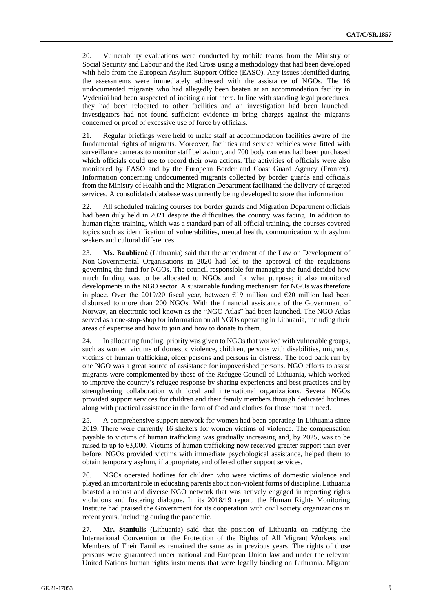20. Vulnerability evaluations were conducted by mobile teams from the Ministry of Social Security and Labour and the Red Cross using a methodology that had been developed with help from the European Asylum Support Office (EASO). Any issues identified during the assessments were immediately addressed with the assistance of NGOs. The 16 undocumented migrants who had allegedly been beaten at an accommodation facility in Vydeniai had been suspected of inciting a riot there. In line with standing legal procedures, they had been relocated to other facilities and an investigation had been launched; investigators had not found sufficient evidence to bring charges against the migrants concerned or proof of excessive use of force by officials.

21. Regular briefings were held to make staff at accommodation facilities aware of the fundamental rights of migrants. Moreover, facilities and service vehicles were fitted with surveillance cameras to monitor staff behaviour, and 700 body cameras had been purchased which officials could use to record their own actions. The activities of officials were also monitored by EASO and by the European Border and Coast Guard Agency (Frontex). Information concerning undocumented migrants collected by border guards and officials from the Ministry of Health and the Migration Department facilitated the delivery of targeted services. A consolidated database was currently being developed to store that information.

22. All scheduled training courses for border guards and Migration Department officials had been duly held in 2021 despite the difficulties the country was facing. In addition to human rights training, which was a standard part of all official training, the courses covered topics such as identification of vulnerabilities, mental health, communication with asylum seekers and cultural differences.

23. **Ms. Baublienė** (Lithuania) said that the amendment of the Law on Development of Non-Governmental Organisations in 2020 had led to the approval of the regulations governing the fund for NGOs. The council responsible for managing the fund decided how much funding was to be allocated to NGOs and for what purpose; it also monitored developments in the NGO sector. A sustainable funding mechanism for NGOs was therefore in place. Over the 2019/20 fiscal year, between  $\epsilon$ 19 million and  $\epsilon$ 20 million had been disbursed to more than 200 NGOs. With the financial assistance of the Government of Norway, an electronic tool known as the "NGO Atlas" had been launched. The NGO Atlas served as a one-stop-shop for information on all NGOs operating in Lithuania, including their areas of expertise and how to join and how to donate to them.

24. In allocating funding, priority was given to NGOs that worked with vulnerable groups, such as women victims of domestic violence, children, persons with disabilities, migrants, victims of human trafficking, older persons and persons in distress. The food bank run by one NGO was a great source of assistance for impoverished persons. NGO efforts to assist migrants were complemented by those of the Refugee Council of Lithuania, which worked to improve the country's refugee response by sharing experiences and best practices and by strengthening collaboration with local and international organizations. Several NGOs provided support services for children and their family members through dedicated hotlines along with practical assistance in the form of food and clothes for those most in need.

25. A comprehensive support network for women had been operating in Lithuania since 2019. There were currently 16 shelters for women victims of violence. The compensation payable to victims of human trafficking was gradually increasing and, by 2025, was to be raised to up to  $63,000$ . Victims of human trafficking now received greater support than ever before. NGOs provided victims with immediate psychological assistance, helped them to obtain temporary asylum, if appropriate, and offered other support services.

26. NGOs operated hotlines for children who were victims of domestic violence and played an important role in educating parents about non-violent forms of discipline. Lithuania boasted a robust and diverse NGO network that was actively engaged in reporting rights violations and fostering dialogue. In its 2018/19 report, the Human Rights Monitoring Institute had praised the Government for its cooperation with civil society organizations in recent years, including during the pandemic.

27. **Mr. Staniulis** (Lithuania) said that the position of Lithuania on ratifying the International Convention on the Protection of the Rights of All Migrant Workers and Members of Their Families remained the same as in previous years. The rights of those persons were guaranteed under national and European Union law and under the relevant United Nations human rights instruments that were legally binding on Lithuania. Migrant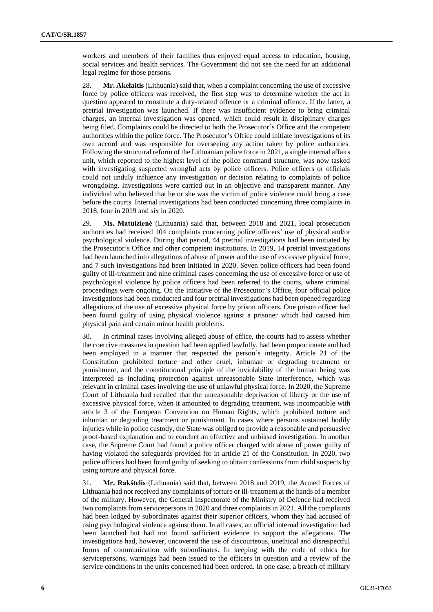workers and members of their families thus enjoyed equal access to education, housing, social services and health services. The Government did not see the need for an additional legal regime for those persons.

28. **Mr. Akelaitis** (Lithuania) said that, when a complaint concerning the use of excessive force by police officers was received, the first step was to determine whether the act in question appeared to constitute a duty-related offence or a criminal offence. If the latter, a pretrial investigation was launched. If there was insufficient evidence to bring criminal charges, an internal investigation was opened, which could result in disciplinary charges being filed. Complaints could be directed to both the Prosecutor's Office and the competent authorities within the police force. The Prosecutor's Office could initiate investigations of its own accord and was responsible for overseeing any action taken by police authorities. Following the structural reform of the Lithuanian police force in 2021, a single internal affairs unit, which reported to the highest level of the police command structure, was now tasked with investigating suspected wrongful acts by police officers. Police officers or officials could not unduly influence any investigation or decision relating to complaints of police wrongdoing. Investigations were carried out in an objective and transparent manner. Any individual who believed that he or she was the victim of police violence could bring a case before the courts. Internal investigations had been conducted concerning three complaints in 2018, four in 2019 and six in 2020.

29. **Ms. Matuizienė** (Lithuania) said that, between 2018 and 2021, local prosecution authorities had received 104 complaints concerning police officers' use of physical and/or psychological violence. During that period, 44 pretrial investigations had been initiated by the Prosecutor's Office and other competent institutions. In 2019, 14 pretrial investigations had been launched into allegations of abuse of power and the use of excessive physical force, and 7 such investigations had been initiated in 2020. Seven police officers had been found guilty of ill-treatment and nine criminal cases concerning the use of excessive force or use of psychological violence by police officers had been referred to the courts, where criminal proceedings were ongoing. On the initiative of the Prosecutor's Office, four official police investigations had been conducted and four pretrial investigations had been opened regarding allegations of the use of excessive physical force by prison officers. One prison officer had been found guilty of using physical violence against a prisoner which had caused him physical pain and certain minor health problems.

30. In criminal cases involving alleged abuse of office, the courts had to assess whether the coercive measures in question had been applied lawfully, had been proportionate and had been employed in a manner that respected the person's integrity. Article 21 of the Constitution prohibited torture and other cruel, inhuman or degrading treatment or punishment, and the constitutional principle of the inviolability of the human being was interpreted as including protection against unreasonable State interference, which was relevant in criminal cases involving the use of unlawful physical force. In 2020, the Supreme Court of Lithuania had recalled that the unreasonable deprivation of liberty or the use of excessive physical force, when it amounted to degrading treatment, was incompatible with article 3 of the European Convention on Human Rights, which prohibited torture and inhuman or degrading treatment or punishment. In cases where persons sustained bodily injuries while in police custody, the State was obliged to provide a reasonable and persuasive proof-based explanation and to conduct an effective and unbiased investigation. In another case, the Supreme Court had found a police officer charged with abuse of power guilty of having violated the safeguards provided for in article 21 of the Constitution. In 2020, two police officers had been found guilty of seeking to obtain confessions from child suspects by using torture and physical force.

31. **Mr. Rakštelis** (Lithuania) said that, between 2018 and 2019, the Armed Forces of Lithuania had not received any complaints of torture or ill-treatment at the hands of a member of the military. However, the General Inspectorate of the Ministry of Defence had received two complaints from servicepersons in 2020 and three complaints in 2021. All the complaints had been lodged by subordinates against their superior officers, whom they had accused of using psychological violence against them. In all cases, an official internal investigation had been launched but had not found sufficient evidence to support the allegations. The investigations had, however, uncovered the use of discourteous, unethical and disrespectful forms of communication with subordinates. In keeping with the code of ethics for servicepersons, warnings had been issued to the officers in question and a review of the service conditions in the units concerned had been ordered. In one case, a breach of military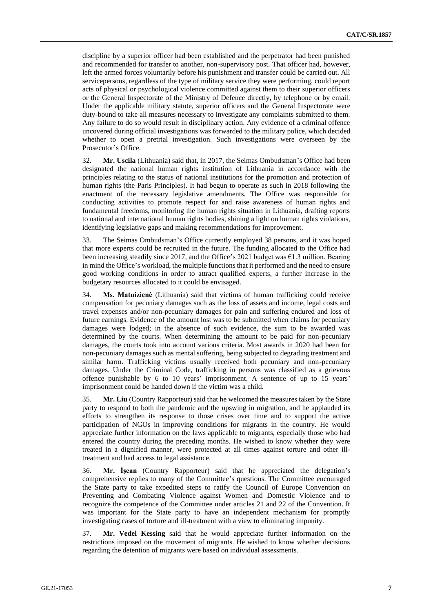discipline by a superior officer had been established and the perpetrator had been punished and recommended for transfer to another, non-supervisory post. That officer had, however, left the armed forces voluntarily before his punishment and transfer could be carried out. All servicepersons, regardless of the type of military service they were performing, could report acts of physical or psychological violence committed against them to their superior officers or the General Inspectorate of the Ministry of Defence directly, by telephone or by email. Under the applicable military statute, superior officers and the General Inspectorate were duty-bound to take all measures necessary to investigate any complaints submitted to them. Any failure to do so would result in disciplinary action. Any evidence of a criminal offence uncovered during official investigations was forwarded to the military police, which decided whether to open a pretrial investigation. Such investigations were overseen by the Prosecutor's Office.

32. **Mr. Uscila** (Lithuania) said that, in 2017, the Seimas Ombudsman's Office had been designated the national human rights institution of Lithuania in accordance with the principles relating to the status of national institutions for the promotion and protection of human rights (the Paris Principles). It had begun to operate as such in 2018 following the enactment of the necessary legislative amendments. The Office was responsible for conducting activities to promote respect for and raise awareness of human rights and fundamental freedoms, monitoring the human rights situation in Lithuania, drafting reports to national and international human rights bodies, shining a light on human rights violations, identifying legislative gaps and making recommendations for improvement.

33. The Seimas Ombudsman's Office currently employed 38 persons, and it was hoped that more experts could be recruited in the future. The funding allocated to the Office had been increasing steadily since 2017, and the Office's 2021 budget was  $\epsilon$ 1.3 million. Bearing in mind the Office's workload, the multiple functions that it performed and the need to ensure good working conditions in order to attract qualified experts, a further increase in the budgetary resources allocated to it could be envisaged.

34. **Ms. Matuizienė** (Lithuania) said that victims of human trafficking could receive compensation for pecuniary damages such as the loss of assets and income, legal costs and travel expenses and/or non-pecuniary damages for pain and suffering endured and loss of future earnings. Evidence of the amount lost was to be submitted when claims for pecuniary damages were lodged; in the absence of such evidence, the sum to be awarded was determined by the courts. When determining the amount to be paid for non-pecuniary damages, the courts took into account various criteria. Most awards in 2020 had been for non-pecuniary damages such as mental suffering, being subjected to degrading treatment and similar harm. Trafficking victims usually received both pecuniary and non-pecuniary damages. Under the Criminal Code, trafficking in persons was classified as a grievous offence punishable by 6 to 10 years' imprisonment. A sentence of up to 15 years' imprisonment could be handed down if the victim was a child.

35. **Mr. Liu** (Country Rapporteur) said that he welcomed the measures taken by the State party to respond to both the pandemic and the upswing in migration, and he applauded its efforts to strengthen its response to those crises over time and to support the active participation of NGOs in improving conditions for migrants in the country. He would appreciate further information on the laws applicable to migrants, especially those who had entered the country during the preceding months. He wished to know whether they were treated in a dignified manner, were protected at all times against torture and other illtreatment and had access to legal assistance.

36. **Mr. İşcan** (Country Rapporteur) said that he appreciated the delegation's comprehensive replies to many of the Committee's questions. The Committee encouraged the State party to take expedited steps to ratify the Council of Europe Convention on Preventing and Combating Violence against Women and Domestic Violence and to recognize the competence of the Committee under articles 21 and 22 of the Convention. It was important for the State party to have an independent mechanism for promptly investigating cases of torture and ill-treatment with a view to eliminating impunity.

37. **Mr. Vedel Kessing** said that he would appreciate further information on the restrictions imposed on the movement of migrants. He wished to know whether decisions regarding the detention of migrants were based on individual assessments.